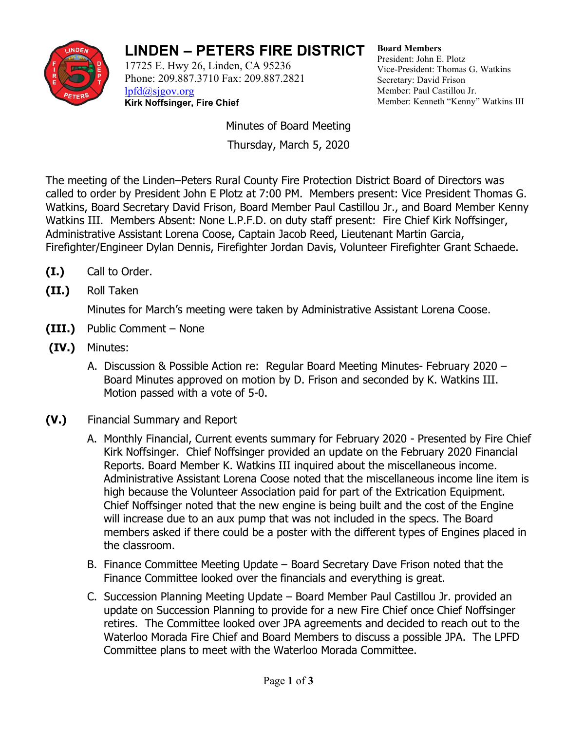

## **LINDEN – PETERS FIRE DISTRICT**

17725 E. Hwy 26, Linden, CA 95236 Phone: 209.887.3710 Fax: 209.887.2821 [lpfd@sjgov.org](mailto:lpfd@sjgov.org) **Kirk Noffsinger, Fire Chief**

**Board Members** President: John E. Plotz Vice-President: Thomas G. Watkins Secretary: David Frison Member: Paul Castillou Jr. Member: Kenneth "Kenny" Watkins III

Minutes of Board Meeting Thursday, March 5, 2020

The meeting of the Linden–Peters Rural County Fire Protection District Board of Directors was called to order by President John E Plotz at 7:00 PM. Members present: Vice President Thomas G. Watkins, Board Secretary David Frison, Board Member Paul Castillou Jr., and Board Member Kenny Watkins III. Members Absent: None L.P.F.D. on duty staff present: Fire Chief Kirk Noffsinger, Administrative Assistant Lorena Coose, Captain Jacob Reed, Lieutenant Martin Garcia, Firefighter/Engineer Dylan Dennis, Firefighter Jordan Davis, Volunteer Firefighter Grant Schaede.

- **(I.)** Call to Order.
- **(II.)** Roll Taken

Minutes for March's meeting were taken by Administrative Assistant Lorena Coose.

- **(III.)** Public Comment None
- **(IV.)** Minutes:
	- A. Discussion & Possible Action re: Regular Board Meeting Minutes- February 2020 Board Minutes approved on motion by D. Frison and seconded by K. Watkins III. Motion passed with a vote of 5-0.
- **(V.)** Financial Summary and Report
	- A. Monthly Financial, Current events summary for February 2020 Presented by Fire Chief Kirk Noffsinger. Chief Noffsinger provided an update on the February 2020 Financial Reports. Board Member K. Watkins III inquired about the miscellaneous income. Administrative Assistant Lorena Coose noted that the miscellaneous income line item is high because the Volunteer Association paid for part of the Extrication Equipment. Chief Noffsinger noted that the new engine is being built and the cost of the Engine will increase due to an aux pump that was not included in the specs. The Board members asked if there could be a poster with the different types of Engines placed in the classroom.
	- B. Finance Committee Meeting Update Board Secretary Dave Frison noted that the Finance Committee looked over the financials and everything is great.
	- C. Succession Planning Meeting Update Board Member Paul Castillou Jr. provided an update on Succession Planning to provide for a new Fire Chief once Chief Noffsinger retires. The Committee looked over JPA agreements and decided to reach out to the Waterloo Morada Fire Chief and Board Members to discuss a possible JPA. The LPFD Committee plans to meet with the Waterloo Morada Committee.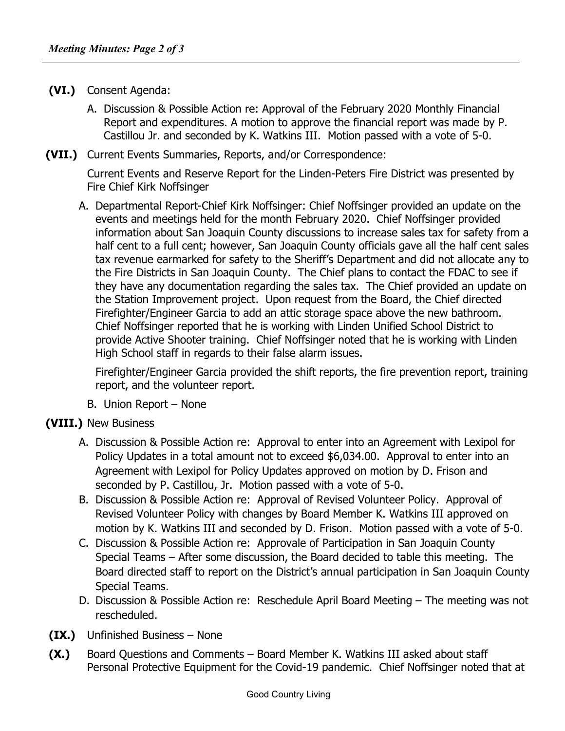- **(VI.)** Consent Agenda:
	- A. Discussion & Possible Action re: Approval of the February 2020 Monthly Financial Report and expenditures. A motion to approve the financial report was made by P. Castillou Jr. and seconded by K. Watkins III. Motion passed with a vote of 5-0.
- **(VII.)** Current Events Summaries, Reports, and/or Correspondence:

Current Events and Reserve Report for the Linden-Peters Fire District was presented by Fire Chief Kirk Noffsinger

A. Departmental Report-Chief Kirk Noffsinger: Chief Noffsinger provided an update on the events and meetings held for the month February 2020. Chief Noffsinger provided information about San Joaquin County discussions to increase sales tax for safety from a half cent to a full cent; however, San Joaquin County officials gave all the half cent sales tax revenue earmarked for safety to the Sheriff's Department and did not allocate any to the Fire Districts in San Joaquin County. The Chief plans to contact the FDAC to see if they have any documentation regarding the sales tax. The Chief provided an update on the Station Improvement project. Upon request from the Board, the Chief directed Firefighter/Engineer Garcia to add an attic storage space above the new bathroom. Chief Noffsinger reported that he is working with Linden Unified School District to provide Active Shooter training. Chief Noffsinger noted that he is working with Linden High School staff in regards to their false alarm issues.

Firefighter/Engineer Garcia provided the shift reports, the fire prevention report, training report, and the volunteer report.

B. Union Report – None

## **(VIII.)** New Business

- A. Discussion & Possible Action re: Approval to enter into an Agreement with Lexipol for Policy Updates in a total amount not to exceed \$6,034.00. Approval to enter into an Agreement with Lexipol for Policy Updates approved on motion by D. Frison and seconded by P. Castillou, Jr. Motion passed with a vote of 5-0.
- B. Discussion & Possible Action re: Approval of Revised Volunteer Policy. Approval of Revised Volunteer Policy with changes by Board Member K. Watkins III approved on motion by K. Watkins III and seconded by D. Frison. Motion passed with a vote of 5-0.
- C. Discussion & Possible Action re: Approvale of Participation in San Joaquin County Special Teams – After some discussion, the Board decided to table this meeting. The Board directed staff to report on the District's annual participation in San Joaquin County Special Teams.
- D. Discussion & Possible Action re: Reschedule April Board Meeting The meeting was not rescheduled.
- **(IX.)** Unfinished Business None
- **(X.)** Board Questions and Comments Board Member K. Watkins III asked about staff Personal Protective Equipment for the Covid-19 pandemic. Chief Noffsinger noted that at